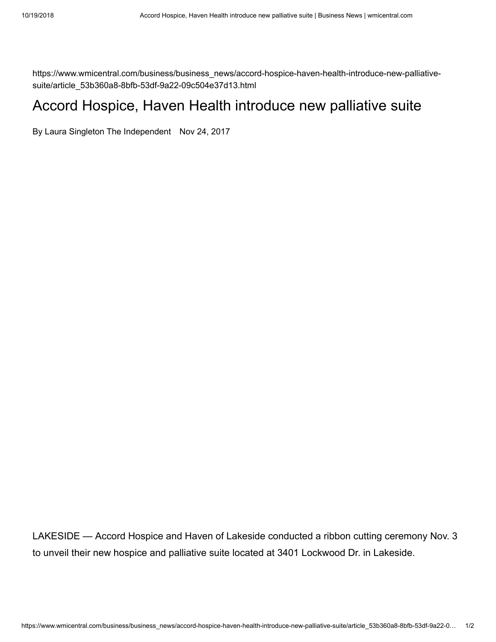https://www.wmicentral.com/business/business\_news/accord-hospice-haven-health-introduce-new-palliativesuite/article\_53b360a8-8bfb-53df-9a22-09c504e37d13.html

## Accord Hospice, Haven Health introduce new palliative suite

[By Laura Singleton The Independent](https://www.wmicentral.com/users/profile/Laura%20Singleton) Nov 24, 2017

LAKESIDE — Accord Hospice and Haven of Lakeside conducted a ribbon cutting ceremony Nov. 3 to unveil their new hospice and palliative suite located at 3401 Lockwood Dr. in Lakeside.